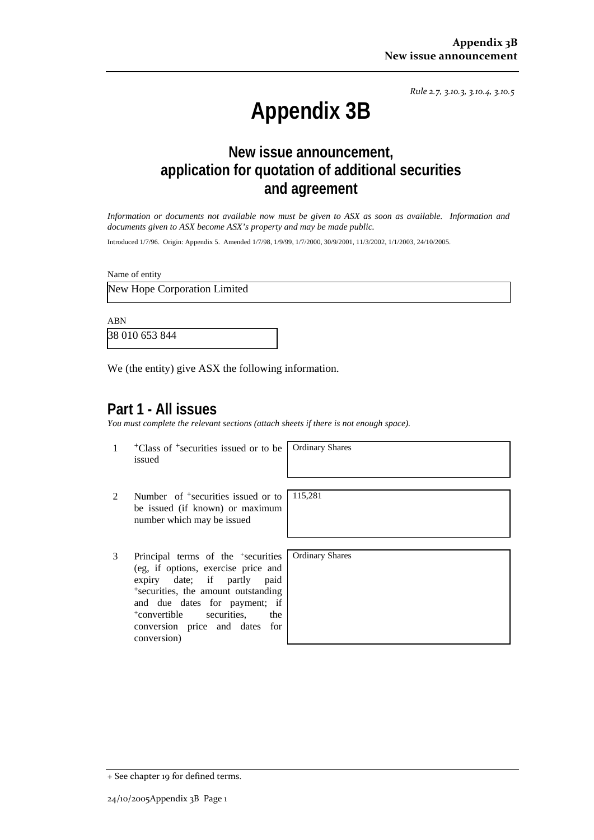*Rule 2.7, 3.10.3, 3.10.4, 3.10.5*

# **Appendix 3B**

# **New issue announcement, application for quotation of additional securities and agreement**

*Information or documents not available now must be given to ASX as soon as available. Information and documents given to ASX become ASX's property and may be made public.* 

Introduced 1/7/96. Origin: Appendix 5. Amended 1/7/98, 1/9/99, 1/7/2000, 30/9/2001, 11/3/2002, 1/1/2003, 24/10/2005.

Name of entity

New Hope Corporation Limited

ABN

38 010 653 844

We (the entity) give ASX the following information.

## **Part 1 - All issues**

*You must complete the relevant sections (attach sheets if there is not enough space).*

1 +Class of +securities issued or to be issued

Ordinary Shares

- 2 Number of <sup>+</sup>securities issued or to be issued (if known) or maximum number which may be issued
- 3 Principal terms of the +securities (eg, if options, exercise price and expiry date; if partly paid +securities, the amount outstanding and due dates for payment; if +convertible securities, the conversion price and dates for conversion)

115,281

Ordinary Shares

<sup>+</sup> See chapter 19 for defined terms.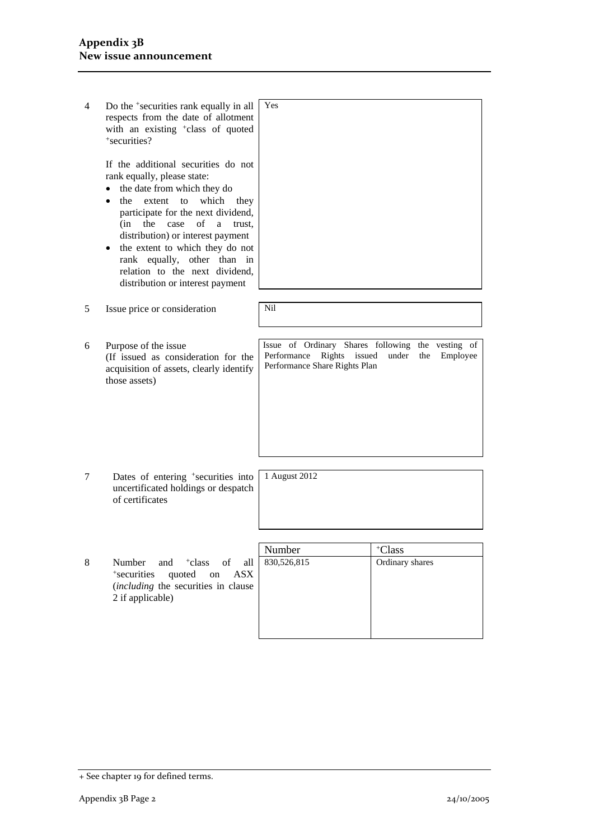| 4 | Do the <sup>+</sup> securities rank equally in all<br>respects from the date of allotment<br>with an existing <sup>+</sup> class of quoted<br>+securities?                                                                                                                                                                                                                                                | Yes                                                                                                    |                                            |
|---|-----------------------------------------------------------------------------------------------------------------------------------------------------------------------------------------------------------------------------------------------------------------------------------------------------------------------------------------------------------------------------------------------------------|--------------------------------------------------------------------------------------------------------|--------------------------------------------|
|   | If the additional securities do not<br>rank equally, please state:<br>the date from which they do<br>the<br>extent to<br>which<br>they<br>participate for the next dividend,<br>(in<br>the<br>case<br>of<br>a<br>trust.<br>distribution) or interest payment<br>the extent to which they do not<br>٠<br>rank equally, other than in<br>relation to the next dividend.<br>distribution or interest payment |                                                                                                        |                                            |
| 5 | Issue price or consideration                                                                                                                                                                                                                                                                                                                                                                              | Nil                                                                                                    |                                            |
| 6 | Purpose of the issue<br>(If issued as consideration for the<br>acquisition of assets, clearly identify<br>those assets)                                                                                                                                                                                                                                                                                   | Issue of Ordinary Shares following<br>Performance<br>Rights<br>issued<br>Performance Share Rights Plan | the vesting of<br>under<br>the<br>Employee |
| 7 | Dates of entering <sup>+</sup> securities into<br>uncertificated holdings or despatch<br>of certificates                                                                                                                                                                                                                                                                                                  | 1 August 2012                                                                                          |                                            |
|   |                                                                                                                                                                                                                                                                                                                                                                                                           |                                                                                                        |                                            |
|   |                                                                                                                                                                                                                                                                                                                                                                                                           | Number                                                                                                 | +Class                                     |
| 8 | $\sigma$ f<br>Number<br><sup>+</sup> class<br>all<br>and<br>quoted<br><b>ASX</b><br>*securities<br>on<br>(including the securities in clause<br>2 if applicable)                                                                                                                                                                                                                                          | 830,526,815                                                                                            | Ordinary shares                            |

<sup>+</sup> See chapter 19 for defined terms.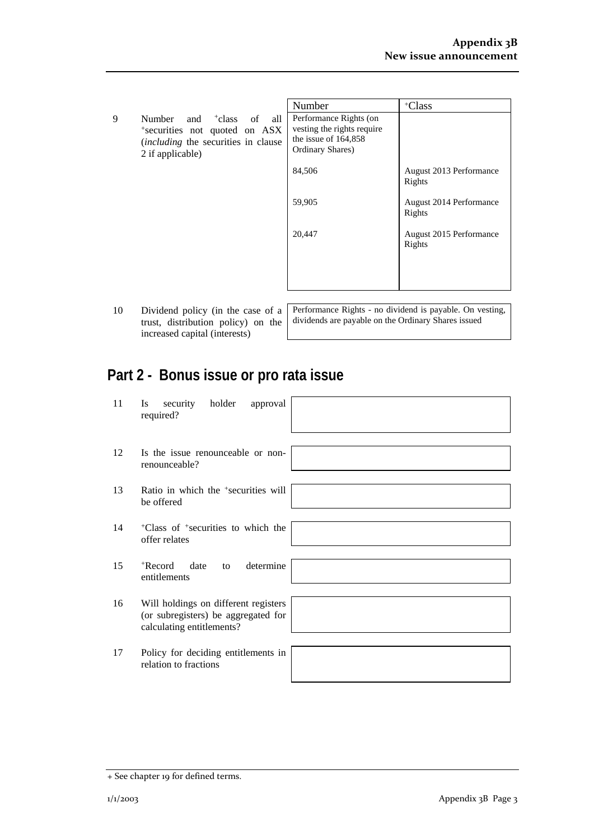|              |                                                                 | Number                                                           | +Class                            |
|--------------|-----------------------------------------------------------------|------------------------------------------------------------------|-----------------------------------|
| 9            | Number<br>and <sup>+</sup> class<br>of<br>all                   | Performance Rights (on                                           |                                   |
|              | *securities not quoted on ASX                                   | vesting the rights require<br>the issue of $164,858$             |                                   |
|              | <i>(including the securities in clause)</i><br>2 if applicable) | Ordinary Shares)                                                 |                                   |
|              |                                                                 | 84,506                                                           | August 2013 Performance<br>Rights |
|              |                                                                 | 59,905                                                           | August 2014 Performance<br>Rights |
|              |                                                                 | 20,447                                                           | August 2015 Performance<br>Rights |
|              |                                                                 |                                                                  |                                   |
|              |                                                                 |                                                                  |                                   |
| $1^{\prime}$ | $\mathbf{D}^*$ is the set of $\mathbf{A}$<br>$\mathbf{r}$       | Department Districts and distributed in according One constitute |                                   |

trust, distribution policy) on the increased capital (interests)

10 Dividend policy (in the case of a Performance Rights - no dividend is payable. On vesting, dividends are payable on the Ordinary Shares issued

# **Part 2 - Bonus issue or pro rata issue**

| 11 | security<br>holder<br>approval<br><b>Is</b><br>required?                                                 |  |
|----|----------------------------------------------------------------------------------------------------------|--|
| 12 | Is the issue renounceable or non-<br>renounceable?                                                       |  |
| 13 | Ratio in which the <sup>+</sup> securities will<br>be offered                                            |  |
| 14 | <sup>+</sup> Class of <sup>+</sup> securities to which the<br>offer relates                              |  |
| 15 | $+$ Record<br>determine<br>date<br>to<br>entitlements                                                    |  |
| 16 | Will holdings on different registers<br>(or subregisters) be aggregated for<br>calculating entitlements? |  |
| 17 | Policy for deciding entitlements in<br>relation to fractions                                             |  |

<sup>+</sup> See chapter 19 for defined terms.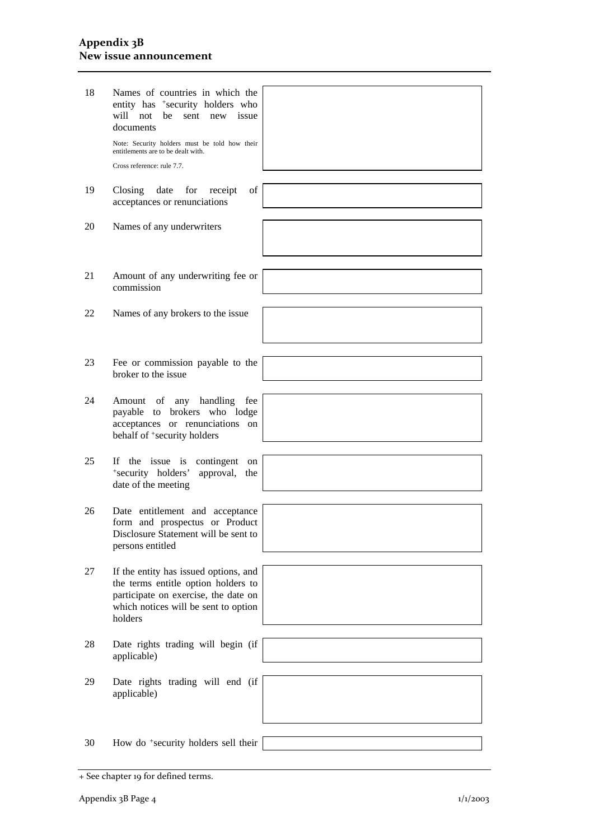#### **Appendix 3B New issue announcement**

| 18 | Names of countries in which the<br>entity has +security holders who<br>will not<br>be<br>new<br>issue<br>sent<br>documents                                              |  |
|----|-------------------------------------------------------------------------------------------------------------------------------------------------------------------------|--|
|    | Note: Security holders must be told how their<br>entitlements are to be dealt with.                                                                                     |  |
|    | Cross reference: rule 7.7.                                                                                                                                              |  |
| 19 | of<br>Closing<br>date<br>for<br>receipt                                                                                                                                 |  |
|    | acceptances or renunciations                                                                                                                                            |  |
| 20 | Names of any underwriters                                                                                                                                               |  |
|    |                                                                                                                                                                         |  |
| 21 | Amount of any underwriting fee or<br>commission                                                                                                                         |  |
|    |                                                                                                                                                                         |  |
| 22 | Names of any brokers to the issue                                                                                                                                       |  |
|    |                                                                                                                                                                         |  |
| 23 | Fee or commission payable to the<br>broker to the issue                                                                                                                 |  |
|    |                                                                                                                                                                         |  |
| 24 | handling<br>Amount<br>of<br>any<br>fee<br>brokers who lodge<br>payable to<br>acceptances or renunciations on<br>behalf of <sup>+</sup> security holders                 |  |
|    |                                                                                                                                                                         |  |
| 25 | If the issue is<br>contingent<br>on<br>*security holders'<br>approval,<br>the<br>date of the meeting                                                                    |  |
|    |                                                                                                                                                                         |  |
| 26 | Date entitlement and acceptance<br>form and prospectus or Product<br>Disclosure Statement will be sent to<br>persons entitled                                           |  |
|    |                                                                                                                                                                         |  |
| 27 | If the entity has issued options, and<br>the terms entitle option holders to<br>participate on exercise, the date on<br>which notices will be sent to option<br>holders |  |
| 28 | Date rights trading will begin (if                                                                                                                                      |  |
|    | applicable)                                                                                                                                                             |  |
| 29 | Date rights trading will end (if                                                                                                                                        |  |
|    | applicable)                                                                                                                                                             |  |
| 30 | How do <sup>+</sup> security holders sell their                                                                                                                         |  |
|    |                                                                                                                                                                         |  |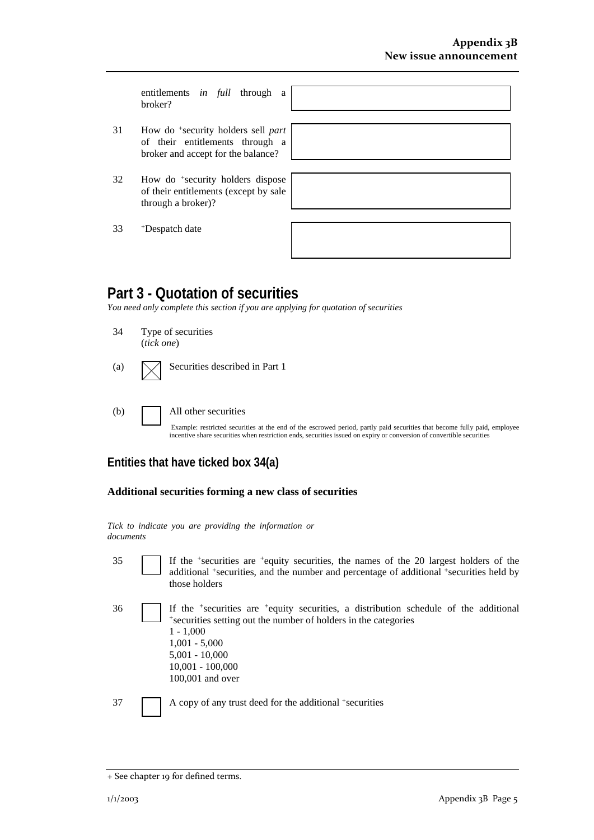entitlements *in full* through a broker?

- 31 How do +security holders sell *part* of their entitlements through a broker and accept for the balance?
- $32$  How do <sup>+</sup>security holders disp of their entitlements (except by through a broker)?
- 33 +Despatch date

| oose<br>sale |  |  |  |
|--------------|--|--|--|
|              |  |  |  |
|              |  |  |  |

## **Part 3 - Quotation of securities**

*You need only complete this section if you are applying for quotation of securities* 

- 34 Type of securities (*tick one*)
- (a)  $\Box$  Securities described in Part 1
- (b) All other securities

Example: restricted securities at the end of the escrowed period, partly paid securities that become fully paid, employee incentive share securities when restriction ends, securities issued on expiry or conversion of convertible securities

## **Entities that have ticked box 34(a)**

#### **Additional securities forming a new class of securities**

*Tick to indicate you are providing the information or documents*

- 35 If the +securities are +equity securities, the names of the 20 largest holders of the additional +securities, and the number and percentage of additional +securities held by those holders
- $36$  If the +securities are +equity securities, a distribution schedule of the additional +securities setting out the number of holders in the categories 1 - 1,000 1,001 - 5,000 5,001 - 10,000 10,001 - 100,000 100,001 and over

37 A copy of any trust deed for the additional +securities

<sup>+</sup> See chapter 19 for defined terms.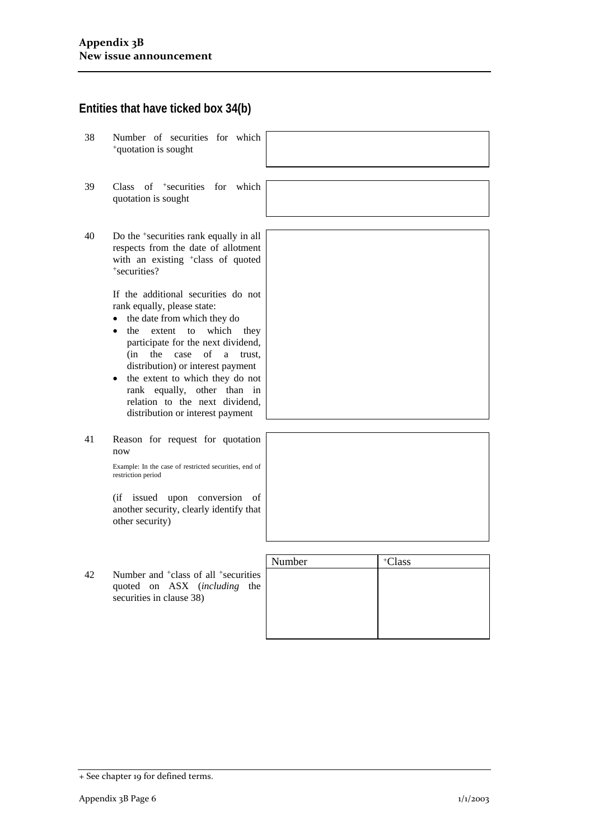### **Entities that have ticked box 34(b)**

- 38 Number of securities for which +quotation is sought
- 39 Class of +securities for which quotation is sought
- 40 Do the +securities rank equally in all respects from the date of allotment with an existing <sup>+</sup>class of quoted +securities?

If the additional securities do not rank equally, please state:

- the date from which they do
- the extent to which they participate for the next dividend, (in the case of a trust, distribution) or interest payment
- the extent to which they do not rank equally, other than in relation to the next dividend, distribution or interest payment
- 41 Reason for request for quotation now

Example: In the case of restricted securities, end of restriction period

(if issued upon conversion of another security, clearly identify that other security)

|    |                                                                                                                          | Number | <sup>+</sup> Class |
|----|--------------------------------------------------------------------------------------------------------------------------|--------|--------------------|
| 42 | Number and <sup>+</sup> class of all <sup>+</sup> securities<br>quoted on ASX (including the<br>securities in clause 38) |        |                    |
|    |                                                                                                                          |        |                    |

|  |  |  |  | + See chapter 19 for defined terms. |  |
|--|--|--|--|-------------------------------------|--|
|--|--|--|--|-------------------------------------|--|